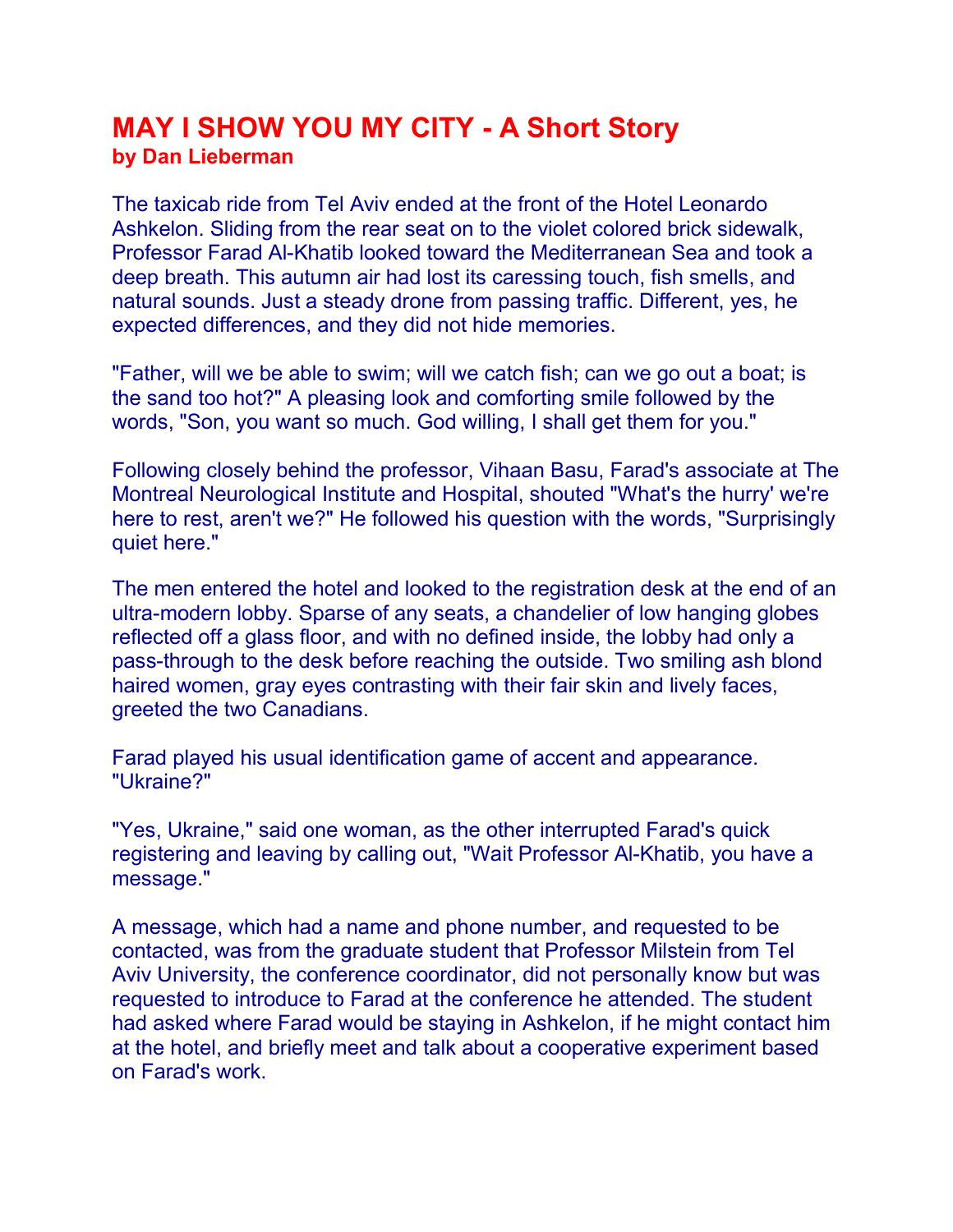## MAY I SHOW YOU MY CITY - A Short Story by Dan Lieberman

The taxicab ride from Tel Aviv ended at the front of the Hotel Leonardo Ashkelon. Sliding from the rear seat on to the violet colored brick sidewalk, Professor Farad Al-Khatib looked toward the Mediterranean Sea and took a deep breath. This autumn air had lost its caressing touch, fish smells, and natural sounds. Just a steady drone from passing traffic. Different, yes, he expected differences, and they did not hide memories.

"Father, will we be able to swim; will we catch fish; can we go out a boat; is the sand too hot?" A pleasing look and comforting smile followed by the words, "Son, you want so much. God willing, I shall get them for you."

Following closely behind the professor, Vihaan Basu, Farad's associate at The Montreal Neurological Institute and Hospital, shouted "What's the hurry' we're here to rest, aren't we?" He followed his question with the words, "Surprisingly quiet here."

The men entered the hotel and looked to the registration desk at the end of an ultra-modern lobby. Sparse of any seats, a chandelier of low hanging globes reflected off a glass floor, and with no defined inside, the lobby had only a pass-through to the desk before reaching the outside. Two smiling ash blond haired women, gray eyes contrasting with their fair skin and lively faces, greeted the two Canadians.

Farad played his usual identification game of accent and appearance. "Ukraine?"

"Yes, Ukraine," said one woman, as the other interrupted Farad's quick registering and leaving by calling out, "Wait Professor Al-Khatib, you have a message."

A message, which had a name and phone number, and requested to be contacted, was from the graduate student that Professor Milstein from Tel Aviv University, the conference coordinator, did not personally know but was requested to introduce to Farad at the conference he attended. The student had asked where Farad would be staying in Ashkelon, if he might contact him at the hotel, and briefly meet and talk about a cooperative experiment based on Farad's work.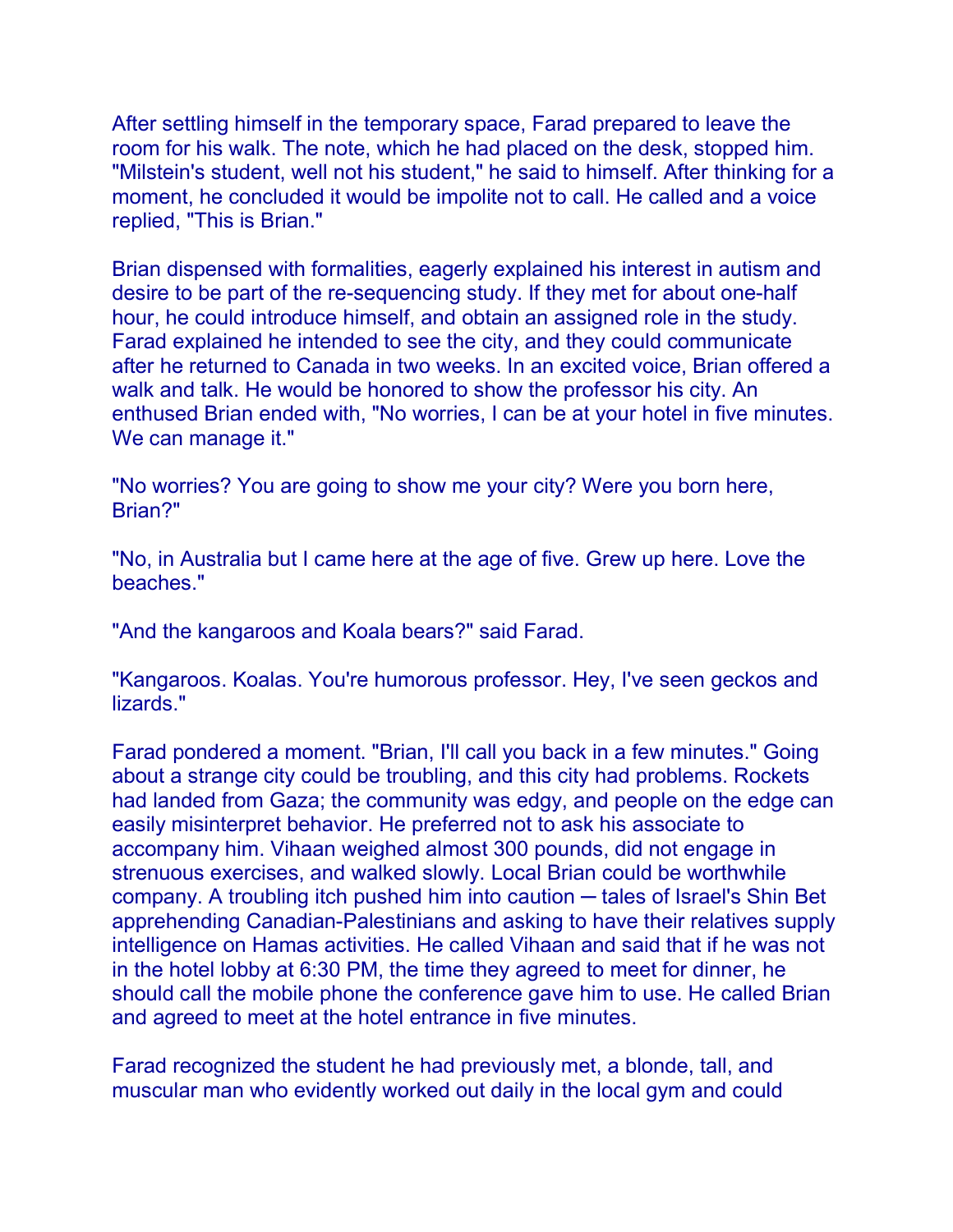After settling himself in the temporary space, Farad prepared to leave the room for his walk. The note, which he had placed on the desk, stopped him. "Milstein's student, well not his student," he said to himself. After thinking for a moment, he concluded it would be impolite not to call. He called and a voice replied, "This is Brian."

Brian dispensed with formalities, eagerly explained his interest in autism and desire to be part of the re-sequencing study. If they met for about one-half hour, he could introduce himself, and obtain an assigned role in the study. Farad explained he intended to see the city, and they could communicate after he returned to Canada in two weeks. In an excited voice, Brian offered a walk and talk. He would be honored to show the professor his city. An enthused Brian ended with, "No worries, I can be at your hotel in five minutes. We can manage it."

"No worries? You are going to show me your city? Were you born here, Brian?"

"No, in Australia but I came here at the age of five. Grew up here. Love the beaches."

"And the kangaroos and Koala bears?" said Farad.

"Kangaroos. Koalas. You're humorous professor. Hey, I've seen geckos and lizards."

Farad pondered a moment. "Brian, I'll call you back in a few minutes." Going about a strange city could be troubling, and this city had problems. Rockets had landed from Gaza; the community was edgy, and people on the edge can easily misinterpret behavior. He preferred not to ask his associate to accompany him. Vihaan weighed almost 300 pounds, did not engage in strenuous exercises, and walked slowly. Local Brian could be worthwhile company. A troubling itch pushed him into caution — tales of Israel's Shin Bet apprehending Canadian-Palestinians and asking to have their relatives supply intelligence on Hamas activities. He called Vihaan and said that if he was not in the hotel lobby at 6:30 PM, the time they agreed to meet for dinner, he should call the mobile phone the conference gave him to use. He called Brian and agreed to meet at the hotel entrance in five minutes.

Farad recognized the student he had previously met, a blonde, tall, and muscular man who evidently worked out daily in the local gym and could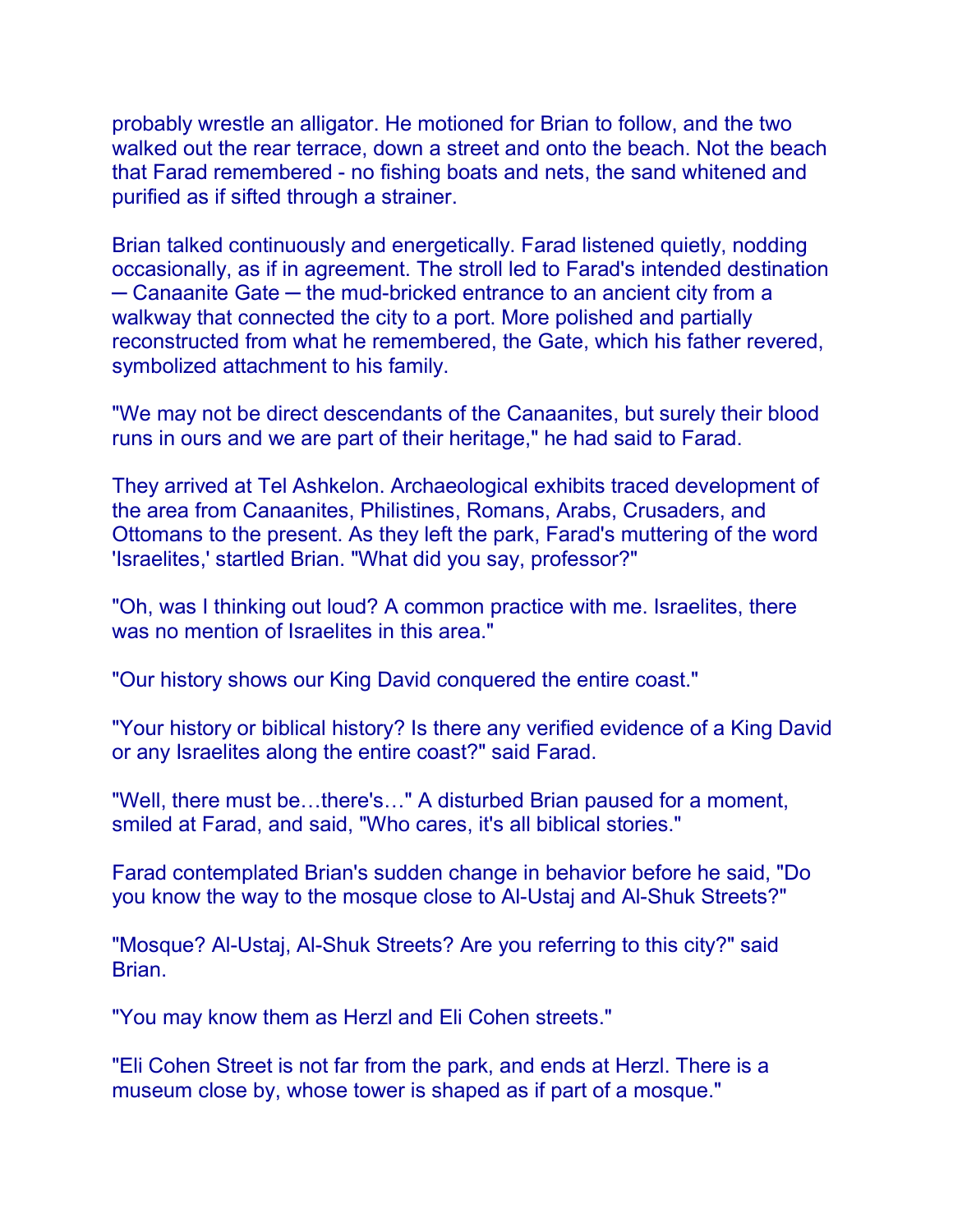probably wrestle an alligator. He motioned for Brian to follow, and the two walked out the rear terrace, down a street and onto the beach. Not the beach that Farad remembered - no fishing boats and nets, the sand whitened and purified as if sifted through a strainer.

Brian talked continuously and energetically. Farad listened quietly, nodding occasionally, as if in agreement. The stroll led to Farad's intended destination ─ Canaanite Gate ─ the mud-bricked entrance to an ancient city from a walkway that connected the city to a port. More polished and partially reconstructed from what he remembered, the Gate, which his father revered, symbolized attachment to his family.

"We may not be direct descendants of the Canaanites, but surely their blood runs in ours and we are part of their heritage," he had said to Farad.

They arrived at Tel Ashkelon. Archaeological exhibits traced development of the area from Canaanites, Philistines, Romans, Arabs, Crusaders, and Ottomans to the present. As they left the park, Farad's muttering of the word 'Israelites,' startled Brian. "What did you say, professor?"

"Oh, was I thinking out loud? A common practice with me. Israelites, there was no mention of Israelites in this area."

"Our history shows our King David conquered the entire coast."

"Your history or biblical history? Is there any verified evidence of a King David or any Israelites along the entire coast?" said Farad.

"Well, there must be…there's…" A disturbed Brian paused for a moment, smiled at Farad, and said, "Who cares, it's all biblical stories."

Farad contemplated Brian's sudden change in behavior before he said, "Do you know the way to the mosque close to Al-Ustaj and Al-Shuk Streets?"

"Mosque? Al-Ustaj, Al-Shuk Streets? Are you referring to this city?" said Brian.

"You may know them as Herzl and Eli Cohen streets."

"Eli Cohen Street is not far from the park, and ends at Herzl. There is a museum close by, whose tower is shaped as if part of a mosque."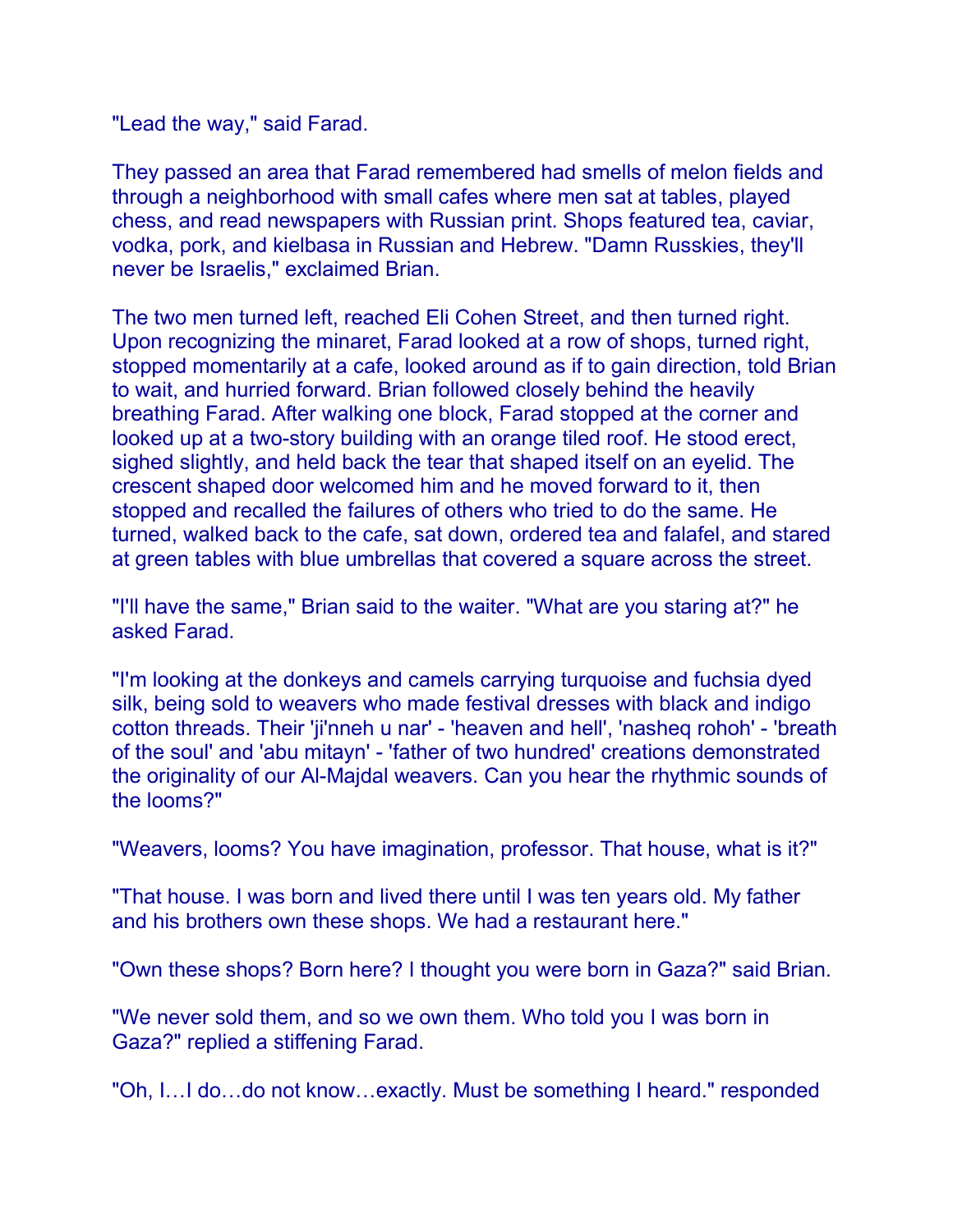"Lead the way," said Farad.

They passed an area that Farad remembered had smells of melon fields and through a neighborhood with small cafes where men sat at tables, played chess, and read newspapers with Russian print. Shops featured tea, caviar, vodka, pork, and kielbasa in Russian and Hebrew. "Damn Russkies, they'll never be Israelis," exclaimed Brian.

The two men turned left, reached Eli Cohen Street, and then turned right. Upon recognizing the minaret, Farad looked at a row of shops, turned right, stopped momentarily at a cafe, looked around as if to gain direction, told Brian to wait, and hurried forward. Brian followed closely behind the heavily breathing Farad. After walking one block, Farad stopped at the corner and looked up at a two-story building with an orange tiled roof. He stood erect, sighed slightly, and held back the tear that shaped itself on an eyelid. The crescent shaped door welcomed him and he moved forward to it, then stopped and recalled the failures of others who tried to do the same. He turned, walked back to the cafe, sat down, ordered tea and falafel, and stared at green tables with blue umbrellas that covered a square across the street.

"I'll have the same," Brian said to the waiter. "What are you staring at?" he asked Farad.

"I'm looking at the donkeys and camels carrying turquoise and fuchsia dyed silk, being sold to weavers who made festival dresses with black and indigo cotton threads. Their 'ji'nneh u nar' - 'heaven and hell', 'nasheq rohoh' - 'breath of the soul' and 'abu mitayn' - 'father of two hundred' creations demonstrated the originality of our Al-Majdal weavers. Can you hear the rhythmic sounds of the looms?"

"Weavers, looms? You have imagination, professor. That house, what is it?"

"That house. I was born and lived there until I was ten years old. My father and his brothers own these shops. We had a restaurant here."

"Own these shops? Born here? I thought you were born in Gaza?" said Brian.

"We never sold them, and so we own them. Who told you I was born in Gaza?" replied a stiffening Farad.

"Oh, I…I do…do not know…exactly. Must be something I heard." responded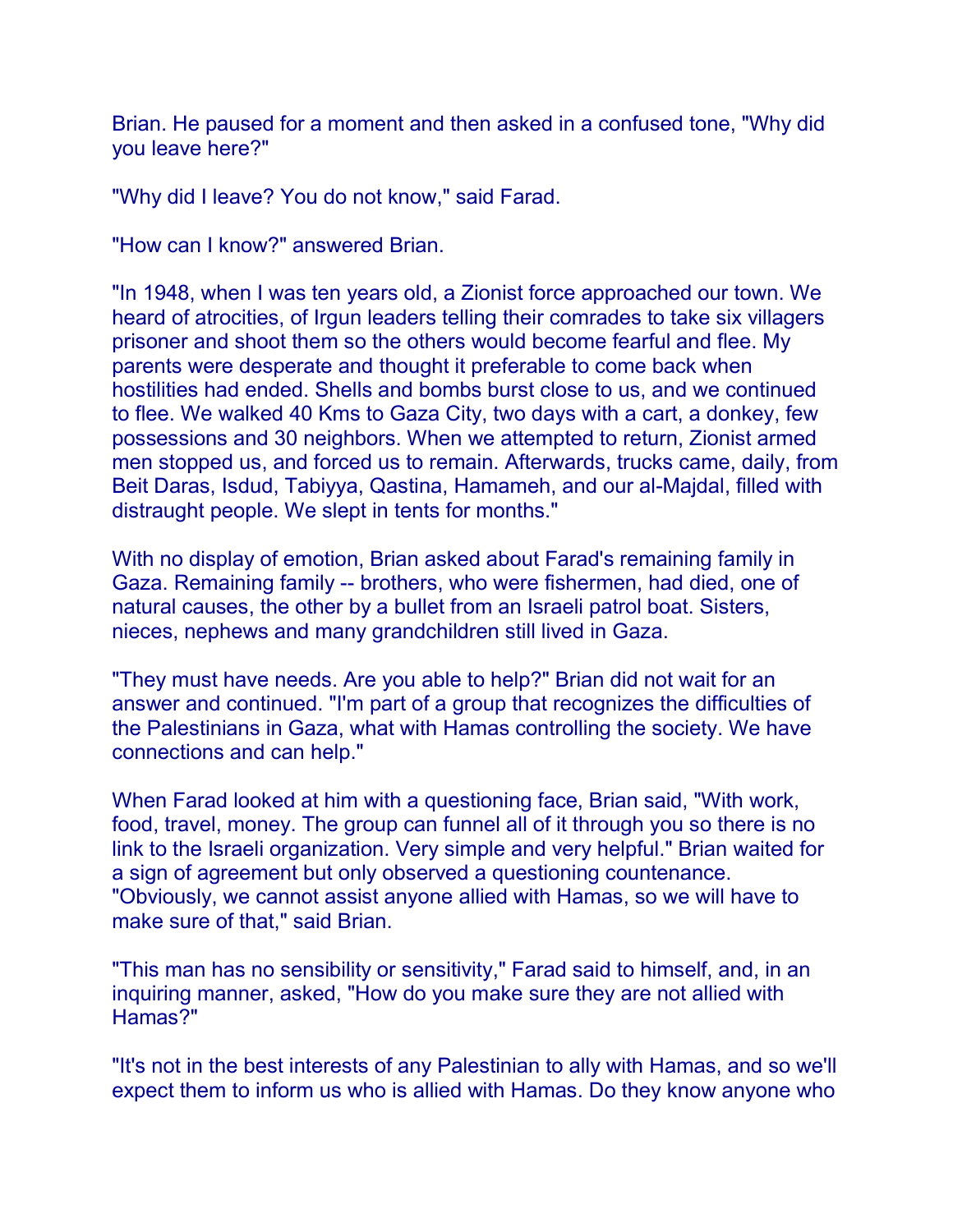Brian. He paused for a moment and then asked in a confused tone, "Why did you leave here?"

"Why did I leave? You do not know," said Farad.

"How can I know?" answered Brian.

"In 1948, when I was ten years old, a Zionist force approached our town. We heard of atrocities, of Irgun leaders telling their comrades to take six villagers prisoner and shoot them so the others would become fearful and flee. My parents were desperate and thought it preferable to come back when hostilities had ended. Shells and bombs burst close to us, and we continued to flee. We walked 40 Kms to Gaza City, two days with a cart, a donkey, few possessions and 30 neighbors. When we attempted to return, Zionist armed men stopped us, and forced us to remain. Afterwards, trucks came, daily, from Beit Daras, Isdud, Tabiyya, Qastina, Hamameh, and our al-Majdal, filled with distraught people. We slept in tents for months."

With no display of emotion, Brian asked about Farad's remaining family in Gaza. Remaining family -- brothers, who were fishermen, had died, one of natural causes, the other by a bullet from an Israeli patrol boat. Sisters, nieces, nephews and many grandchildren still lived in Gaza.

"They must have needs. Are you able to help?" Brian did not wait for an answer and continued. "I'm part of a group that recognizes the difficulties of the Palestinians in Gaza, what with Hamas controlling the society. We have connections and can help."

When Farad looked at him with a questioning face, Brian said, "With work, food, travel, money. The group can funnel all of it through you so there is no link to the Israeli organization. Very simple and very helpful." Brian waited for a sign of agreement but only observed a questioning countenance. "Obviously, we cannot assist anyone allied with Hamas, so we will have to make sure of that," said Brian.

"This man has no sensibility or sensitivity," Farad said to himself, and, in an inquiring manner, asked, "How do you make sure they are not allied with Hamas?"

"It's not in the best interests of any Palestinian to ally with Hamas, and so we'll expect them to inform us who is allied with Hamas. Do they know anyone who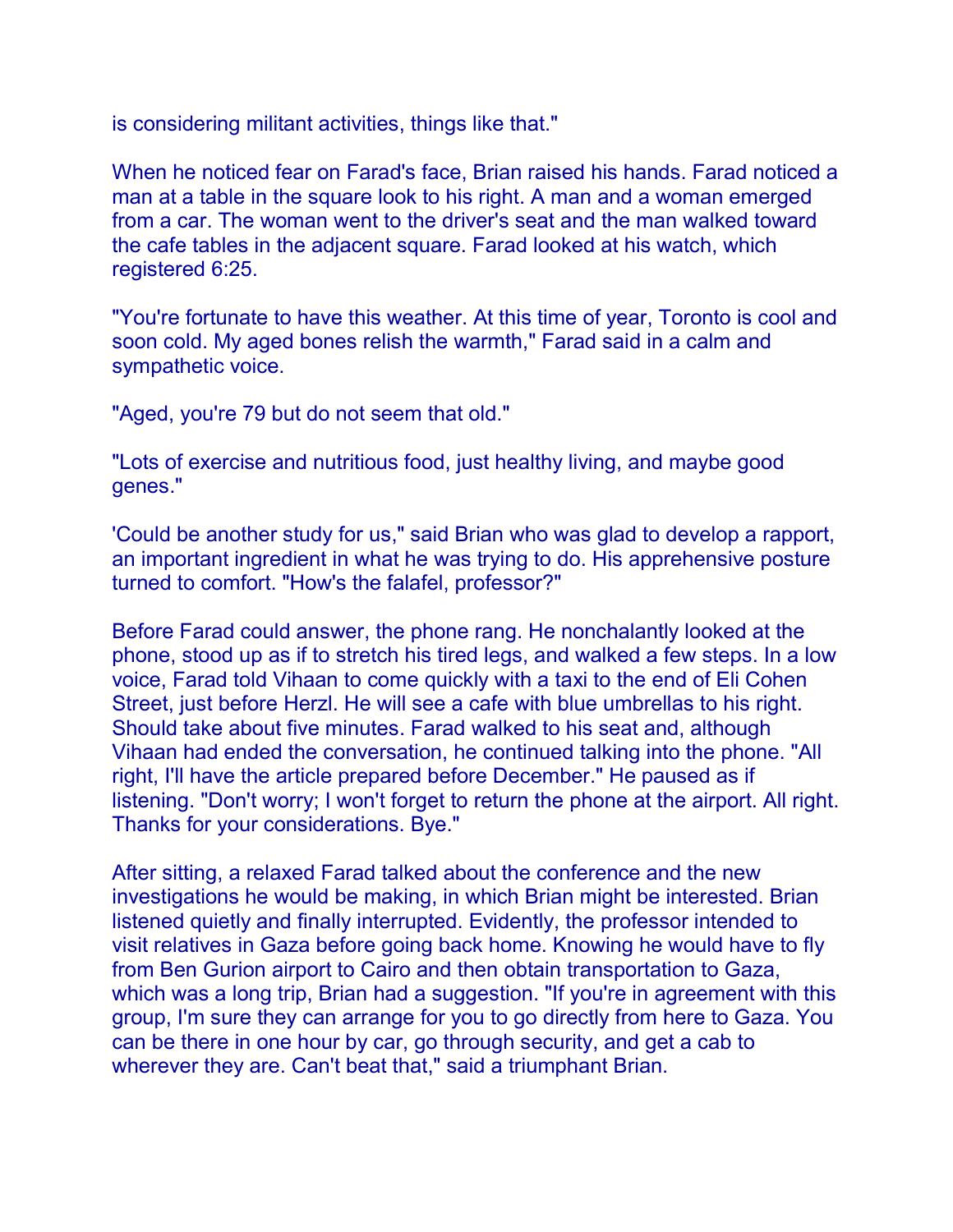is considering militant activities, things like that."

When he noticed fear on Farad's face, Brian raised his hands. Farad noticed a man at a table in the square look to his right. A man and a woman emerged from a car. The woman went to the driver's seat and the man walked toward the cafe tables in the adjacent square. Farad looked at his watch, which registered 6:25.

"You're fortunate to have this weather. At this time of year, Toronto is cool and soon cold. My aged bones relish the warmth," Farad said in a calm and sympathetic voice.

"Aged, you're 79 but do not seem that old."

"Lots of exercise and nutritious food, just healthy living, and maybe good genes."

'Could be another study for us," said Brian who was glad to develop a rapport, an important ingredient in what he was trying to do. His apprehensive posture turned to comfort. "How's the falafel, professor?"

Before Farad could answer, the phone rang. He nonchalantly looked at the phone, stood up as if to stretch his tired legs, and walked a few steps. In a low voice, Farad told Vihaan to come quickly with a taxi to the end of Eli Cohen Street, just before Herzl. He will see a cafe with blue umbrellas to his right. Should take about five minutes. Farad walked to his seat and, although Vihaan had ended the conversation, he continued talking into the phone. "All right, I'll have the article prepared before December." He paused as if listening. "Don't worry; I won't forget to return the phone at the airport. All right. Thanks for your considerations. Bye."

After sitting, a relaxed Farad talked about the conference and the new investigations he would be making, in which Brian might be interested. Brian listened quietly and finally interrupted. Evidently, the professor intended to visit relatives in Gaza before going back home. Knowing he would have to fly from Ben Gurion airport to Cairo and then obtain transportation to Gaza, which was a long trip, Brian had a suggestion. "If you're in agreement with this group, I'm sure they can arrange for you to go directly from here to Gaza. You can be there in one hour by car, go through security, and get a cab to wherever they are. Can't beat that," said a triumphant Brian.